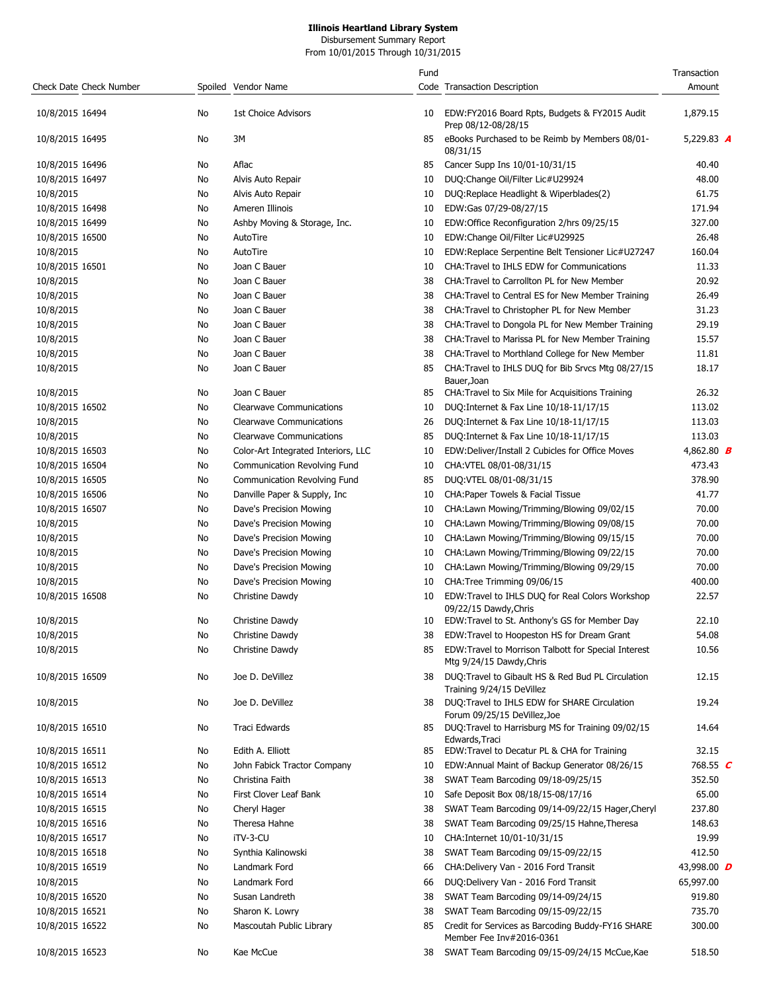Disbursement Summary Report From 10/01/2015 Through 10/31/2015

| Check Date Check Number |          | Spoiled Vendor Name                 | Fund     | Code Transaction Description                                                                                                    | Transaction<br>Amount |  |
|-------------------------|----------|-------------------------------------|----------|---------------------------------------------------------------------------------------------------------------------------------|-----------------------|--|
| 10/8/2015 16494         | No       | 1st Choice Advisors                 | 10       | EDW:FY2016 Board Rpts, Budgets & FY2015 Audit<br>Prep 08/12-08/28/15                                                            | 1,879.15              |  |
| 10/8/2015 16495         | No       | 3M                                  | 85       | eBooks Purchased to be Reimb by Members 08/01-<br>08/31/15                                                                      | 5,229.83 A            |  |
| 10/8/2015 16496         | No.      | Aflac                               | 85       | Cancer Supp Ins 10/01-10/31/15                                                                                                  | 40.40                 |  |
| 10/8/2015 16497         | No       | Alvis Auto Repair                   | 10       | DUQ:Change Oil/Filter Lic#U29924                                                                                                | 48.00                 |  |
| 10/8/2015               | No       | Alvis Auto Repair                   | 10       | DUQ: Replace Headlight & Wiperblades (2)                                                                                        | 61.75                 |  |
| 10/8/2015 16498         | No       | Ameren Illinois                     | 10       | EDW:Gas 07/29-08/27/15                                                                                                          | 171.94                |  |
| 10/8/2015 16499         | No       | Ashby Moving & Storage, Inc.        | 10       | EDW:Office Reconfiguration 2/hrs 09/25/15                                                                                       | 327.00                |  |
| 10/8/2015 16500         | No       | AutoTire                            | 10       | EDW:Change Oil/Filter Lic#U29925                                                                                                | 26.48                 |  |
| 10/8/2015               | No       | AutoTire                            | 10       | EDW:Replace Serpentine Belt Tensioner Lic#U27247                                                                                | 160.04                |  |
| 10/8/2015 16501         | No       | Joan C Bauer                        | 10       | CHA: Travel to IHLS EDW for Communications                                                                                      | 11.33                 |  |
| 10/8/2015               | No       | Joan C Bauer                        | 38       | CHA: Travel to Carrollton PL for New Member                                                                                     | 20.92                 |  |
| 10/8/2015               | No       | Joan C Bauer                        | 38       | CHA: Travel to Central ES for New Member Training                                                                               | 26.49                 |  |
| 10/8/2015               | No       | Joan C Bauer                        | 38       | CHA: Travel to Christopher PL for New Member                                                                                    | 31.23                 |  |
| 10/8/2015               | No       | Joan C Bauer                        | 38       | CHA: Travel to Dongola PL for New Member Training                                                                               | 29.19                 |  |
| 10/8/2015               | No       | Joan C Bauer                        | 38       | CHA: Travel to Marissa PL for New Member Training                                                                               | 15.57                 |  |
| 10/8/2015               | No       | Joan C Bauer                        | 38       | CHA: Travel to Morthland College for New Member                                                                                 | 11.81                 |  |
| 10/8/2015               | No       | Joan C Bauer                        | 85       | CHA: Travel to IHLS DUQ for Bib Srvcs Mtg 08/27/15                                                                              | 18.17                 |  |
|                         |          |                                     |          | Bauer, Joan                                                                                                                     |                       |  |
| 10/8/2015               | No       | Joan C Bauer                        | 85       | CHA: Travel to Six Mile for Acquisitions Training                                                                               | 26.32                 |  |
| 10/8/2015 16502         | No       | <b>Clearwave Communications</b>     | 10       | DUQ: Internet & Fax Line 10/18-11/17/15                                                                                         | 113.02                |  |
| 10/8/2015               | No       | <b>Clearwave Communications</b>     | 26       | DUQ: Internet & Fax Line 10/18-11/17/15                                                                                         | 113.03                |  |
| 10/8/2015               | No       | <b>Clearwave Communications</b>     | 85       | DUQ: Internet & Fax Line 10/18-11/17/15                                                                                         | 113.03                |  |
| 10/8/2015 16503         | No       | Color-Art Integrated Interiors, LLC | 10       | EDW:Deliver/Install 2 Cubicles for Office Moves                                                                                 | 4,862.80 <b>B</b>     |  |
| 10/8/2015 16504         | No       | Communication Revolving Fund        | 10       | CHA: VTEL 08/01-08/31/15                                                                                                        | 473.43                |  |
| 10/8/2015 16505         | No       | Communication Revolving Fund        | 85       | DUQ:VTEL 08/01-08/31/15                                                                                                         | 378.90                |  |
| 10/8/2015 16506         | No       | Danville Paper & Supply, Inc.       | 10       | CHA: Paper Towels & Facial Tissue                                                                                               | 41.77                 |  |
| 10/8/2015 16507         | No       | Dave's Precision Mowing             | 10       | CHA:Lawn Mowing/Trimming/Blowing 09/02/15                                                                                       | 70.00                 |  |
| 10/8/2015               | No       | Dave's Precision Mowing             | 10       | CHA:Lawn Mowing/Trimming/Blowing 09/08/15                                                                                       | 70.00                 |  |
| 10/8/2015               | No       | Dave's Precision Mowing             | 10       | CHA:Lawn Mowing/Trimming/Blowing 09/15/15                                                                                       | 70.00                 |  |
| 10/8/2015               | No       | Dave's Precision Mowing             | 10       | CHA:Lawn Mowing/Trimming/Blowing 09/22/15                                                                                       | 70.00                 |  |
| 10/8/2015               | No       | Dave's Precision Mowing             | 10       | CHA:Lawn Mowing/Trimming/Blowing 09/29/15                                                                                       | 70.00                 |  |
| 10/8/2015               | No       | Dave's Precision Mowing             | 10       | CHA: Tree Trimming 09/06/15                                                                                                     | 400.00                |  |
| 10/8/2015 16508         | No       | Christine Dawdy                     | 10       | EDW:Travel to IHLS DUQ for Real Colors Workshop                                                                                 | 22.57                 |  |
| 10/8/2015               | No       | Christine Dawdy                     | 10       | 09/22/15 Dawdy, Chris<br>EDW:Travel to St. Anthony's GS for Member Day                                                          | 22.10                 |  |
| 10/8/2015               |          | Christine Dawdy                     |          |                                                                                                                                 | 54.08                 |  |
| 10/8/2015               | No<br>No | Christine Dawdy                     | 38<br>85 | EDW: Travel to Hoopeston HS for Dream Grant<br>EDW: Travel to Morrison Talbott for Special Interest<br>Mtg 9/24/15 Dawdy, Chris | 10.56                 |  |
| 10/8/2015 16509         | No       | Joe D. DeVillez                     | 38       | DUQ: Travel to Gibault HS & Red Bud PL Circulation<br>Training 9/24/15 DeVillez                                                 | 12.15                 |  |
| 10/8/2015               | No       | Joe D. DeVillez                     | 38       | DUQ: Travel to IHLS EDW for SHARE Circulation<br>Forum 09/25/15 DeVillez, Joe                                                   | 19.24                 |  |
| 10/8/2015 16510         | No       | Traci Edwards                       | 85       | DUQ:Travel to Harrisburg MS for Training 09/02/15<br>Edwards, Traci                                                             | 14.64                 |  |
| 10/8/2015 16511         | No       | Edith A. Elliott                    | 85       | EDW:Travel to Decatur PL & CHA for Training                                                                                     | 32.15                 |  |
| 10/8/2015 16512         | No       | John Fabick Tractor Company         | 10       | EDW:Annual Maint of Backup Generator 08/26/15                                                                                   | 768.55 $C$            |  |
| 10/8/2015 16513         | No       | Christina Faith                     | 38       | SWAT Team Barcoding 09/18-09/25/15                                                                                              | 352.50                |  |
| 10/8/2015 16514         | No       | First Clover Leaf Bank              | 10       | Safe Deposit Box 08/18/15-08/17/16                                                                                              | 65.00                 |  |
| 10/8/2015 16515         | No       | Cheryl Hager                        | 38       | SWAT Team Barcoding 09/14-09/22/15 Hager, Cheryl                                                                                | 237.80                |  |
| 10/8/2015 16516         | No       | Theresa Hahne                       | 38       | SWAT Team Barcoding 09/25/15 Hahne, Theresa                                                                                     | 148.63                |  |
| 10/8/2015 16517         | No       | iTV-3-CU                            | 10       | CHA:Internet 10/01-10/31/15                                                                                                     | 19.99                 |  |
| 10/8/2015 16518         | No       | Synthia Kalinowski                  | 38       | SWAT Team Barcoding 09/15-09/22/15                                                                                              | 412.50                |  |
| 10/8/2015 16519         | No       | Landmark Ford                       | 66       | CHA: Delivery Van - 2016 Ford Transit                                                                                           | 43,998.00 <b>D</b>    |  |
| 10/8/2015               | No       | Landmark Ford                       | 66       | DUQ:Delivery Van - 2016 Ford Transit                                                                                            | 65,997.00             |  |
| 10/8/2015 16520         | No       | Susan Landreth                      | 38       | SWAT Team Barcoding 09/14-09/24/15                                                                                              | 919.80                |  |
| 10/8/2015 16521         | No       | Sharon K. Lowry                     | 38       | SWAT Team Barcoding 09/15-09/22/15                                                                                              | 735.70                |  |
| 10/8/2015 16522         | No       | Mascoutah Public Library            | 85       | Credit for Services as Barcoding Buddy-FY16 SHARE<br>Member Fee Inv#2016-0361                                                   | 300.00                |  |
| 10/8/2015 16523         | No       | Kae McCue                           | 38       | SWAT Team Barcoding 09/15-09/24/15 McCue, Kae                                                                                   | 518.50                |  |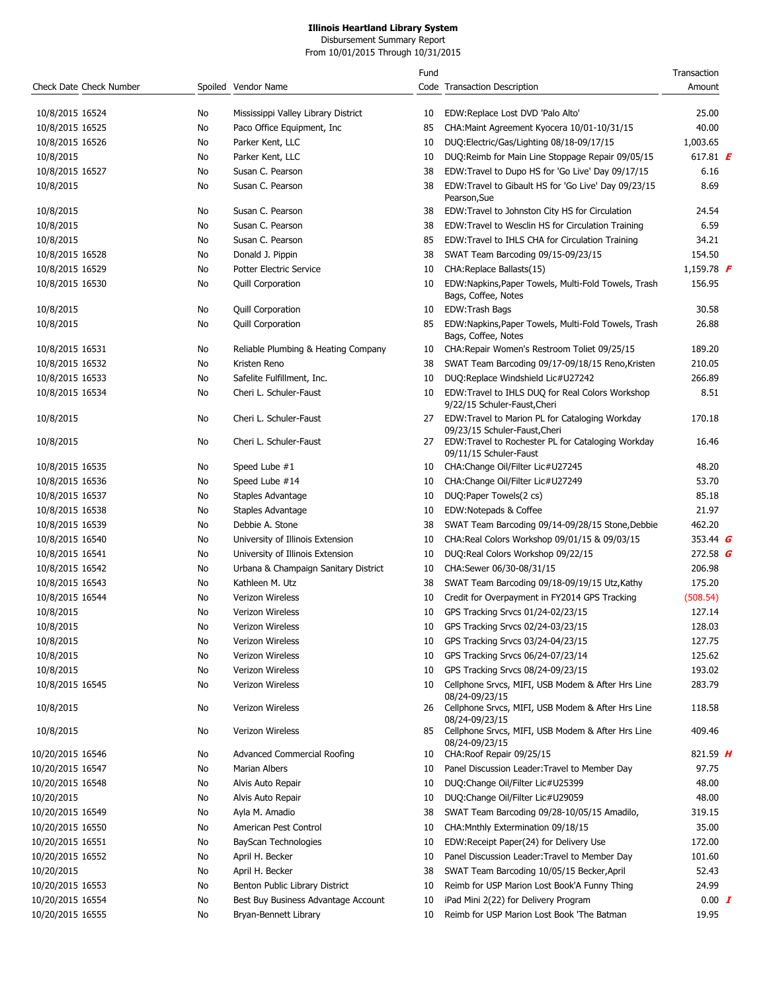Disbursement Summary Report From 10/01/2015 Through 10/31/2015

| Check Date Check Number       |          | Spoiled Vendor Name                             | Fund             | Code Transaction Description                                                                     | Transaction<br>Amount        |
|-------------------------------|----------|-------------------------------------------------|------------------|--------------------------------------------------------------------------------------------------|------------------------------|
| 10/8/2015 16524               | No       | Mississippi Valley Library District             | 10               | EDW:Replace Lost DVD 'Palo Alto'                                                                 | 25.00                        |
| 10/8/2015 16525               | No       | Paco Office Equipment, Inc.                     | 85               | CHA: Maint Agreement Kyocera 10/01-10/31/15                                                      | 40.00                        |
| 10/8/2015 16526               | No       | Parker Kent, LLC                                | 10               | DUQ:Electric/Gas/Lighting 08/18-09/17/15                                                         | 1,003.65                     |
| 10/8/2015                     | No       | Parker Kent, LLC                                | 10               | DUQ:Reimb for Main Line Stoppage Repair 09/05/15                                                 | 617.81 <b><math>E</math></b> |
| 10/8/2015 16527               | No       | Susan C. Pearson                                | 38               | EDW:Travel to Dupo HS for 'Go Live' Day 09/17/15                                                 | 6.16                         |
| 10/8/2015                     | No       | Susan C. Pearson                                | 38               | EDW:Travel to Gibault HS for 'Go Live' Day 09/23/15<br>Pearson, Sue                              | 8.69                         |
| 10/8/2015                     | No       | Susan C. Pearson                                | 38               | EDW:Travel to Johnston City HS for Circulation                                                   | 24.54                        |
| 10/8/2015                     | No       | Susan C. Pearson                                | 38               | EDW: Travel to Wesclin HS for Circulation Training                                               | 6.59                         |
| 10/8/2015                     | No       | Susan C. Pearson                                | 85               | EDW: Travel to IHLS CHA for Circulation Training                                                 | 34.21                        |
| 10/8/2015 16528               | No       | Donald J. Pippin                                | 38               | SWAT Team Barcoding 09/15-09/23/15                                                               | 154.50                       |
| 10/8/2015 16529               | No       | Potter Electric Service                         | 10               | CHA: Replace Ballasts (15)                                                                       | 1,159.78 <b>F</b>            |
| 10/8/2015 16530               | No       | <b>Quill Corporation</b>                        | 10               | EDW:Napkins, Paper Towels, Multi-Fold Towels, Trash<br>Bags, Coffee, Notes                       | 156.95                       |
| 10/8/2015                     | No       | <b>Quill Corporation</b>                        | 10               | EDW:Trash Bags                                                                                   | 30.58                        |
| 10/8/2015                     | No       | <b>Quill Corporation</b>                        | 85               | EDW:Napkins, Paper Towels, Multi-Fold Towels, Trash<br>Bags, Coffee, Notes                       | 26.88                        |
| 10/8/2015 16531               | No       | Reliable Plumbing & Heating Company             | 10               | CHA: Repair Women's Restroom Toliet 09/25/15                                                     | 189.20                       |
| 10/8/2015 16532               | No       | Kristen Reno                                    | 38               | SWAT Team Barcoding 09/17-09/18/15 Reno, Kristen                                                 | 210.05                       |
| 10/8/2015 16533               | No       | Safelite Fulfillment, Inc.                      | 10               | DUQ:Replace Windshield Lic#U27242                                                                | 266.89                       |
| 10/8/2015 16534               | No       | Cheri L. Schuler-Faust                          | 10               | EDW:Travel to IHLS DUQ for Real Colors Workshop<br>9/22/15 Schuler-Faust, Cheri                  | 8.51                         |
| 10/8/2015                     | No       | Cheri L. Schuler-Faust                          | 27               | EDW:Travel to Marion PL for Cataloging Workday<br>09/23/15 Schuler-Faust, Cheri                  | 170.18                       |
| 10/8/2015                     | No       | Cheri L. Schuler-Faust                          | 27               | EDW: Travel to Rochester PL for Cataloging Workday<br>09/11/15 Schuler-Faust                     | 16.46                        |
| 10/8/2015 16535               | No       | Speed Lube #1                                   | 10               | CHA:Change Oil/Filter Lic#U27245                                                                 | 48.20                        |
| 10/8/2015 16536               | No       | Speed Lube #14                                  | 10               | CHA:Change Oil/Filter Lic#U27249                                                                 | 53.70                        |
| 10/8/2015 16537               | No       | Staples Advantage                               | 10               | DUQ:Paper Towels(2 cs)                                                                           | 85.18                        |
| 10/8/2015 16538               | No       | Staples Advantage                               | 10               | EDW:Notepads & Coffee                                                                            | 21.97                        |
| 10/8/2015 16539               | No       | Debbie A. Stone                                 | 38               | SWAT Team Barcoding 09/14-09/28/15 Stone, Debbie                                                 | 462.20                       |
| 10/8/2015 16540               | No       | University of Illinois Extension                | 10               | CHA:Real Colors Workshop 09/01/15 & 09/03/15                                                     | 353.44 $G$                   |
| 10/8/2015 16541               | No       | University of Illinois Extension                | 10               | DUQ:Real Colors Workshop 09/22/15                                                                | 272.58 $G$                   |
| 10/8/2015 16542               | No       | Urbana & Champaign Sanitary District            | 10               | CHA:Sewer 06/30-08/31/15                                                                         | 206.98                       |
| 10/8/2015 16543               | No       | Kathleen M. Utz                                 | 38               | SWAT Team Barcoding 09/18-09/19/15 Utz, Kathy                                                    | 175.20                       |
| 10/8/2015 16544               | No       | Verizon Wireless                                | 10               | Credit for Overpayment in FY2014 GPS Tracking                                                    | (508.54)                     |
| 10/8/2015                     | No       | Verizon Wireless                                | 10               | GPS Tracking Srvcs 01/24-02/23/15                                                                | 127.14                       |
| 10/8/2015                     | No       | Verizon Wireless                                | 10 <sup>10</sup> | GPS Tracking Srvcs 02/24-03/23/15                                                                | 128.03                       |
| 10/8/2015                     | No       | Verizon Wireless                                | 10               | GPS Tracking Srvcs 03/24-04/23/15                                                                | 127.75                       |
| 10/8/2015                     | No       | Verizon Wireless                                | 10               | GPS Tracking Srvcs 06/24-07/23/14                                                                | 125.62                       |
| 10/8/2015                     | No       | Verizon Wireless                                | 10               | GPS Tracking Srvcs 08/24-09/23/15                                                                | 193.02                       |
| 10/8/2015 16545               | No       | Verizon Wireless                                | 10               | Cellphone Srvcs, MIFI, USB Modem & After Hrs Line<br>08/24-09/23/15                              | 283.79                       |
| 10/8/2015                     | No       | Verizon Wireless                                | 26               | Cellphone Srvcs, MIFI, USB Modem & After Hrs Line<br>08/24-09/23/15                              | 118.58                       |
| 10/8/2015<br>10/20/2015 16546 | No<br>No | Verizon Wireless<br>Advanced Commercial Roofing | 85<br>10         | Cellphone Srvcs, MIFI, USB Modem & After Hrs Line<br>08/24-09/23/15<br>CHA: Roof Repair 09/25/15 | 409.46<br>821.59 $H$         |
| 10/20/2015 16547              | No       | Marian Albers                                   | 10               | Panel Discussion Leader: Travel to Member Day                                                    | 97.75                        |
| 10/20/2015 16548              | No       | Alvis Auto Repair                               | 10               | DUQ:Change Oil/Filter Lic#U25399                                                                 | 48.00                        |
| 10/20/2015                    |          |                                                 |                  | DUQ:Change Oil/Filter Lic#U29059                                                                 | 48.00                        |
| 10/20/2015 16549              | No<br>No | Alvis Auto Repair<br>Ayla M. Amadio             | 10<br>38         | SWAT Team Barcoding 09/28-10/05/15 Amadilo,                                                      | 319.15                       |
| 10/20/2015 16550              | No       | American Pest Control                           | 10               | CHA: Mnthly Extermination 09/18/15                                                               | 35.00                        |
| 10/20/2015 16551              |          | BayScan Technologies                            | 10               | EDW:Receipt Paper(24) for Delivery Use                                                           | 172.00                       |
|                               | No       |                                                 |                  |                                                                                                  |                              |
| 10/20/2015 16552              | No       | April H. Becker                                 | 10               | Panel Discussion Leader: Travel to Member Day                                                    | 101.60                       |
| 10/20/2015                    | No       | April H. Becker                                 | 38               | SWAT Team Barcoding 10/05/15 Becker, April                                                       | 52.43                        |
| 10/20/2015 16553              | No       | Benton Public Library District                  | 10               | Reimb for USP Marion Lost Book'A Funny Thing                                                     | 24.99                        |
| 10/20/2015 16554              | No       | Best Buy Business Advantage Account             | 10               | iPad Mini 2(22) for Delivery Program                                                             | $0.00$ $I$                   |
| 10/20/2015 16555              | No       | Bryan-Bennett Library                           | 10               | Reimb for USP Marion Lost Book 'The Batman                                                       | 19.95                        |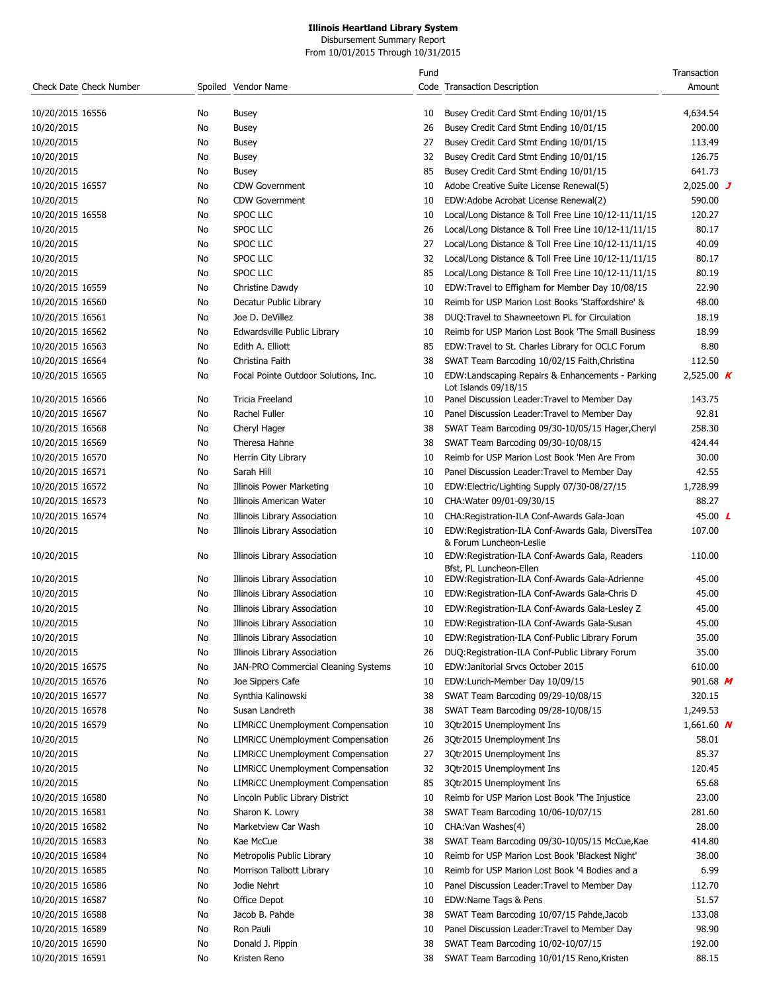#### **Illinois Heartland Library System** Disbursement Summary Report

From 10/01/2015 Through 10/31/2015

| Check Date Check Number |     | Spoiled Vendor Name                      | Fund | Code Transaction Description                                                 | Transaction<br>Amount |
|-------------------------|-----|------------------------------------------|------|------------------------------------------------------------------------------|-----------------------|
| 10/20/2015 16556        | No. | Busey                                    | 10   | Busey Credit Card Stmt Ending 10/01/15                                       | 4,634.54              |
| 10/20/2015              | No  | Busey                                    | 26   | Busey Credit Card Stmt Ending 10/01/15                                       | 200.00                |
| 10/20/2015              | No  | Busey                                    | 27   | Busey Credit Card Stmt Ending 10/01/15                                       | 113.49                |
| 10/20/2015              | No  | Busey                                    | 32   | Busey Credit Card Stmt Ending 10/01/15                                       | 126.75                |
| 10/20/2015              | No  | Busey                                    | 85   | Busey Credit Card Stmt Ending 10/01/15                                       | 641.73                |
| 10/20/2015 16557        | No  | <b>CDW Government</b>                    | 10   | Adobe Creative Suite License Renewal(5)                                      | 2,025.00 $J$          |
| 10/20/2015              | No  | <b>CDW Government</b>                    | 10   | EDW:Adobe Acrobat License Renewal(2)                                         | 590.00                |
| 10/20/2015 16558        | No  | <b>SPOC LLC</b>                          | 10   | Local/Long Distance & Toll Free Line 10/12-11/11/15                          | 120.27                |
| 10/20/2015              | No  | SPOC LLC                                 | 26   | Local/Long Distance & Toll Free Line 10/12-11/11/15                          | 80.17                 |
| 10/20/2015              | No  | SPOC LLC                                 | 27   | Local/Long Distance & Toll Free Line 10/12-11/11/15                          | 40.09                 |
| 10/20/2015              | No  | SPOC LLC                                 | 32   | Local/Long Distance & Toll Free Line 10/12-11/11/15                          | 80.17                 |
| 10/20/2015              | No  | SPOC LLC                                 | 85   | Local/Long Distance & Toll Free Line 10/12-11/11/15                          | 80.19                 |
| 10/20/2015 16559        | No  | Christine Dawdy                          | 10   | EDW:Travel to Effigham for Member Day 10/08/15                               | 22.90                 |
| 10/20/2015 16560        | No  | Decatur Public Library                   | 10   | Reimb for USP Marion Lost Books 'Staffordshire' &                            | 48.00                 |
| 10/20/2015 16561        | No  | Joe D. DeVillez                          | 38   | DUQ:Travel to Shawneetown PL for Circulation                                 | 18.19                 |
| 10/20/2015 16562        | No  | Edwardsville Public Library              | 10   | Reimb for USP Marion Lost Book 'The Small Business                           | 18.99                 |
| 10/20/2015 16563        | No  | Edith A. Elliott                         | 85   | EDW: Travel to St. Charles Library for OCLC Forum                            | 8.80                  |
| 10/20/2015 16564        | No  | Christina Faith                          | 38   | SWAT Team Barcoding 10/02/15 Faith, Christina                                | 112.50                |
| 10/20/2015 16565        | No  | Focal Pointe Outdoor Solutions, Inc.     | 10   | EDW:Landscaping Repairs & Enhancements - Parking<br>Lot Islands 09/18/15     | 2,525.00 $\bm{K}$     |
| 10/20/2015 16566        | No  | Tricia Freeland                          | 10   | Panel Discussion Leader: Travel to Member Day                                | 143.75                |
| 10/20/2015 16567        | No  | Rachel Fuller                            | 10   | Panel Discussion Leader: Travel to Member Day                                | 92.81                 |
| 10/20/2015 16568        | No  | Cheryl Hager                             | 38   | SWAT Team Barcoding 09/30-10/05/15 Hager, Cheryl                             | 258.30                |
| 10/20/2015 16569        | No  | Theresa Hahne                            | 38   | SWAT Team Barcoding 09/30-10/08/15                                           | 424.44                |
| 10/20/2015 16570        | No  | Herrin City Library                      | 10   | Reimb for USP Marion Lost Book 'Men Are From                                 | 30.00                 |
| 10/20/2015 16571        | No  | Sarah Hill                               | 10   | Panel Discussion Leader: Travel to Member Day                                | 42.55                 |
| 10/20/2015 16572        | No  | Illinois Power Marketing                 | 10   | EDW:Electric/Lighting Supply 07/30-08/27/15                                  | 1,728.99              |
| 10/20/2015 16573        | No  | Illinois American Water                  | 10   | CHA: Water 09/01-09/30/15                                                    | 88.27                 |
| 10/20/2015 16574        | No  | Illinois Library Association             | 10   | CHA: Registration-ILA Conf-Awards Gala-Joan                                  | 45.00 $\sqrt{2}$      |
| 10/20/2015              | No  | Illinois Library Association             | 10   | EDW:Registration-ILA Conf-Awards Gala, DiversiTea<br>& Forum Luncheon-Leslie | 107.00                |
| 10/20/2015              | No  | Illinois Library Association             | 10   | EDW:Registration-ILA Conf-Awards Gala, Readers<br>Bfst, PL Luncheon-Ellen    | 110.00                |
| 10/20/2015              | No  | Illinois Library Association             | 10   | EDW:Registration-ILA Conf-Awards Gala-Adrienne                               | 45.00                 |
| 10/20/2015              | No  | Illinois Library Association             | 10   | EDW: Registration-ILA Conf-Awards Gala-Chris D                               | 45.00                 |
| 10/20/2015              | No  | Illinois Library Association             | 10   | EDW:Registration-ILA Conf-Awards Gala-Lesley Z                               | 45.00                 |
| 10/20/2015              | No  | Illinois Library Association             | 10   | EDW:Registration-ILA Conf-Awards Gala-Susan                                  | 45.00                 |
| 10/20/2015              | No  | Illinois Library Association             | 10   | EDW:Registration-ILA Conf-Public Library Forum                               | 35.00                 |
| 10/20/2015              | No  | Illinois Library Association             | 26   | DUQ:Registration-ILA Conf-Public Library Forum                               | 35.00                 |
| 10/20/2015 16575        | No  | JAN-PRO Commercial Cleaning Systems      | 10   | EDW:Janitorial Srvcs October 2015                                            | 610.00                |
| 10/20/2015 16576        | No  | Joe Sippers Cafe                         | 10   | EDW:Lunch-Member Day 10/09/15                                                | 901.68 $M$            |
| 10/20/2015 16577        | No  | Synthia Kalinowski                       | 38   | SWAT Team Barcoding 09/29-10/08/15                                           | 320.15                |
| 10/20/2015 16578        | No  | Susan Landreth                           | 38   | SWAT Team Barcoding 09/28-10/08/15                                           | 1,249.53              |
| 10/20/2015 16579        | No  | <b>LIMRICC Unemployment Compensation</b> | 10   | 3Qtr2015 Unemployment Ins                                                    | 1,661.60 $N$          |
| 10/20/2015              | No  | <b>LIMRICC Unemployment Compensation</b> | 26   | 3Qtr2015 Unemployment Ins                                                    | 58.01                 |
| 10/20/2015              | No  | <b>LIMRICC Unemployment Compensation</b> | 27   | 3Qtr2015 Unemployment Ins                                                    | 85.37                 |
| 10/20/2015              | No  | <b>LIMRICC Unemployment Compensation</b> | 32   | 3Qtr2015 Unemployment Ins                                                    | 120.45                |
| 10/20/2015              | No  | <b>LIMRICC Unemployment Compensation</b> | 85   | 3Qtr2015 Unemployment Ins                                                    | 65.68                 |
| 10/20/2015 16580        | No  | Lincoln Public Library District          | 10   | Reimb for USP Marion Lost Book 'The Injustice                                | 23.00                 |
| 10/20/2015 16581        | No  | Sharon K. Lowry                          | 38   | SWAT Team Barcoding 10/06-10/07/15                                           | 281.60                |
| 10/20/2015 16582        | No  | Marketview Car Wash                      | 10   | CHA: Van Washes(4)                                                           | 28.00                 |
| 10/20/2015 16583        | No  | Kae McCue                                | 38   | SWAT Team Barcoding 09/30-10/05/15 McCue, Kae                                | 414.80                |
| 10/20/2015 16584        | No  | Metropolis Public Library                | 10   | Reimb for USP Marion Lost Book 'Blackest Night'                              | 38.00                 |
| 10/20/2015 16585        | No  | Morrison Talbott Library                 | 10   | Reimb for USP Marion Lost Book '4 Bodies and a                               | 6.99                  |
| 10/20/2015 16586        | No  | Jodie Nehrt                              | 10   | Panel Discussion Leader: Travel to Member Day                                | 112.70                |
| 10/20/2015 16587        | No  | Office Depot                             | 10   | EDW:Name Tags & Pens                                                         | 51.57                 |
| 10/20/2015 16588        | No  | Jacob B. Pahde                           | 38   | SWAT Team Barcoding 10/07/15 Pahde, Jacob                                    | 133.08                |
| 10/20/2015 16589        | No  | Ron Pauli                                | 10   | Panel Discussion Leader: Travel to Member Day                                | 98.90                 |
| 10/20/2015 16590        | No  | Donald J. Pippin                         | 38   | SWAT Team Barcoding 10/02-10/07/15                                           | 192.00                |
| 10/20/2015 16591        | No  | Kristen Reno                             | 38   | SWAT Team Barcoding 10/01/15 Reno, Kristen                                   | 88.15                 |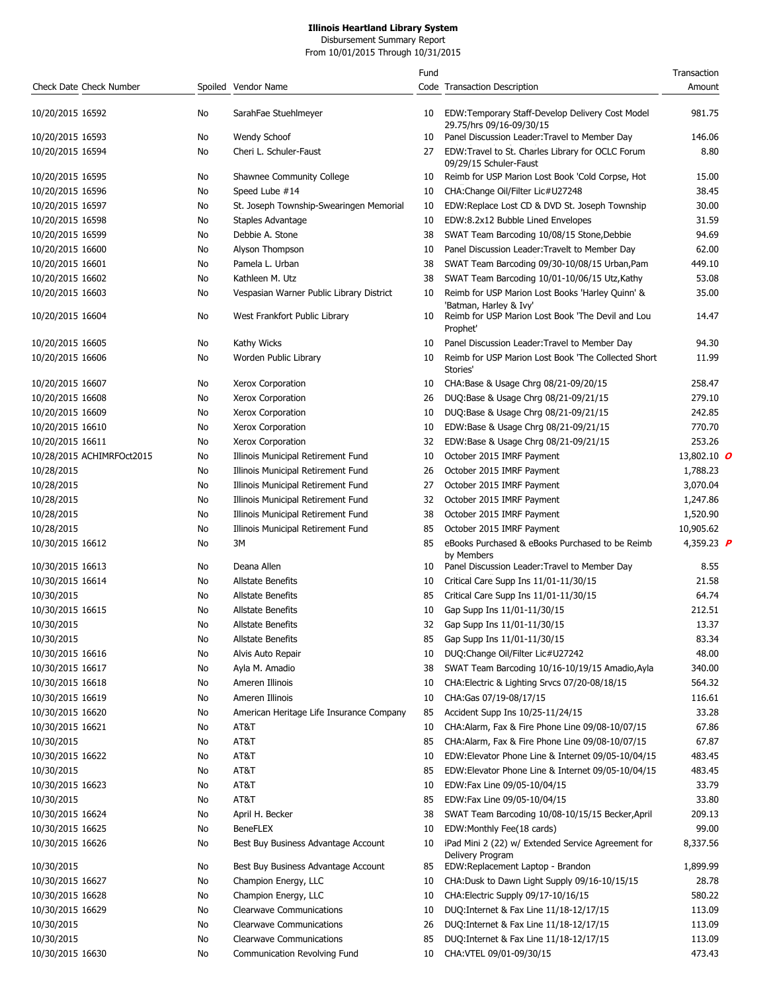Disbursement Summary Report From 10/01/2015 Through 10/31/2015

| Check Date Check Number        |          | Spoiled Vendor Name                                                        | Fund     | Code Transaction Description                                                                               | Transaction<br>Amount |
|--------------------------------|----------|----------------------------------------------------------------------------|----------|------------------------------------------------------------------------------------------------------------|-----------------------|
| 10/20/2015 16592               | No       | SarahFae Stuehlmeyer                                                       | 10       | EDW:Temporary Staff-Develop Delivery Cost Model<br>29.75/hrs 09/16-09/30/15                                | 981.75                |
| 10/20/2015 16593               | No       | Wendy Schoof                                                               | 10       | Panel Discussion Leader: Travel to Member Day                                                              | 146.06                |
| 10/20/2015 16594               | No       | Cheri L. Schuler-Faust                                                     | 27       | EDW:Travel to St. Charles Library for OCLC Forum<br>09/29/15 Schuler-Faust                                 | 8.80                  |
| 10/20/2015 16595               | No       | Shawnee Community College                                                  | 10       | Reimb for USP Marion Lost Book 'Cold Corpse, Hot                                                           | 15.00                 |
| 10/20/2015 16596               | No       | Speed Lube #14                                                             | 10       | CHA:Change Oil/Filter Lic#U27248                                                                           | 38.45                 |
| 10/20/2015 16597               | No       | St. Joseph Township-Swearingen Memorial                                    | 10       | EDW:Replace Lost CD & DVD St. Joseph Township                                                              | 30.00                 |
| 10/20/2015 16598               | No       | Staples Advantage                                                          | 10       | EDW:8.2x12 Bubble Lined Envelopes                                                                          | 31.59                 |
| 10/20/2015 16599               | No       | Debbie A. Stone                                                            | 38       | SWAT Team Barcoding 10/08/15 Stone, Debbie                                                                 | 94.69                 |
| 10/20/2015 16600               | No       | Alyson Thompson                                                            | 10       | Panel Discussion Leader: Travelt to Member Day                                                             | 62.00                 |
| 10/20/2015 16601               | No       | Pamela L. Urban                                                            | 38       | SWAT Team Barcoding 09/30-10/08/15 Urban, Pam                                                              | 449.10                |
| 10/20/2015 16602               | No       | Kathleen M. Utz                                                            | 38       | SWAT Team Barcoding 10/01-10/06/15 Utz, Kathy                                                              | 53.08                 |
| 10/20/2015 16603               | No       | Vespasian Warner Public Library District                                   | 10       | Reimb for USP Marion Lost Books 'Harley Quinn' &<br>'Batman, Harley & Ivy'                                 | 35.00                 |
| 10/20/2015 16604               | No       | West Frankfort Public Library                                              | 10       | Reimb for USP Marion Lost Book 'The Devil and Lou<br>Prophet'                                              | 14.47                 |
| 10/20/2015 16605               | No       | Kathy Wicks                                                                | 10       | Panel Discussion Leader: Travel to Member Day                                                              | 94.30                 |
| 10/20/2015 16606               | No       | Worden Public Library                                                      | 10       | Reimb for USP Marion Lost Book 'The Collected Short<br>Stories'                                            | 11.99                 |
| 10/20/2015 16607               | No       | Xerox Corporation                                                          | 10       | CHA:Base & Usage Chrg 08/21-09/20/15                                                                       | 258.47                |
| 10/20/2015 16608               | No       | Xerox Corporation                                                          | 26       | DUQ:Base & Usage Chrg 08/21-09/21/15                                                                       | 279.10                |
| 10/20/2015 16609               | No       | Xerox Corporation                                                          | 10       | DUQ:Base & Usage Chrg 08/21-09/21/15                                                                       | 242.85                |
| 10/20/2015 16610               | No       | Xerox Corporation                                                          | 10       | EDW:Base & Usage Chrg 08/21-09/21/15                                                                       | 770.70                |
| 10/20/2015 16611               | No       | Xerox Corporation                                                          | 32       | EDW:Base & Usage Chrg 08/21-09/21/15                                                                       | 253.26                |
| 10/28/2015 ACHIMRFOct2015      | No       | Illinois Municipal Retirement Fund                                         | 10       | October 2015 IMRF Payment                                                                                  | 13,802.10 0           |
| 10/28/2015                     | No       | Illinois Municipal Retirement Fund                                         | 26       | October 2015 IMRF Payment                                                                                  | 1,788.23              |
| 10/28/2015                     | No       | Illinois Municipal Retirement Fund                                         | 27       | October 2015 IMRF Payment                                                                                  | 3,070.04              |
| 10/28/2015                     | No       | Illinois Municipal Retirement Fund                                         | 32       | October 2015 IMRF Payment                                                                                  | 1,247.86              |
| 10/28/2015                     | No       | Illinois Municipal Retirement Fund                                         | 38       | October 2015 IMRF Payment                                                                                  | 1,520.90              |
| 10/28/2015                     | No       | Illinois Municipal Retirement Fund                                         | 85       | October 2015 IMRF Payment                                                                                  | 10,905.62             |
| 10/30/2015 16612               | No       | 3M                                                                         | 85       | eBooks Purchased & eBooks Purchased to be Reimb<br>by Members                                              | 4,359.23 <b>P</b>     |
| 10/30/2015 16613               | No.      | Deana Allen                                                                | 10       | Panel Discussion Leader: Travel to Member Day                                                              | 8.55                  |
| 10/30/2015 16614               | No       | <b>Allstate Benefits</b>                                                   | 10       | Critical Care Supp Ins 11/01-11/30/15                                                                      | 21.58                 |
| 10/30/2015                     | No       | <b>Allstate Benefits</b>                                                   | 85       | Critical Care Supp Ins 11/01-11/30/15                                                                      | 64.74                 |
| 10/30/2015 16615               | No       | <b>Allstate Benefits</b>                                                   | 10       | Gap Supp Ins 11/01-11/30/15                                                                                | 212.51                |
| 10/30/2015                     | No       | Allstate Benefits                                                          |          | 32 Gap Supp Ins 11/01-11/30/15                                                                             | 13.37                 |
| 10/30/2015                     | No       | Allstate Benefits                                                          | 85       | Gap Supp Ins 11/01-11/30/15                                                                                | 83.34                 |
| 10/30/2015 16616               | No       | Alvis Auto Repair                                                          | 10       | DUQ:Change Oil/Filter Lic#U27242                                                                           | 48.00                 |
| 10/30/2015 16617               | No       | Ayla M. Amadio                                                             | 38       | SWAT Team Barcoding 10/16-10/19/15 Amadio, Ayla                                                            | 340.00                |
| 10/30/2015 16618               | No       | Ameren Illinois                                                            | 10       | CHA: Electric & Lighting Srvcs 07/20-08/18/15                                                              | 564.32                |
| 10/30/2015 16619               | No       | Ameren Illinois                                                            | 10       | CHA:Gas 07/19-08/17/15                                                                                     | 116.61                |
| 10/30/2015 16620               | No       | American Heritage Life Insurance Company                                   | 85       | Accident Supp Ins 10/25-11/24/15                                                                           | 33.28                 |
| 10/30/2015 16621               | No       | AT&T                                                                       | 10       | CHA:Alarm, Fax & Fire Phone Line 09/08-10/07/15                                                            | 67.86                 |
| 10/30/2015                     | No       | AT&T                                                                       | 85       | CHA:Alarm, Fax & Fire Phone Line 09/08-10/07/15                                                            | 67.87                 |
| 10/30/2015 16622               | No       | AT&T                                                                       | 10       | EDW:Elevator Phone Line & Internet 09/05-10/04/15                                                          | 483.45                |
| 10/30/2015                     | No       | AT&T                                                                       | 85       | EDW: Elevator Phone Line & Internet 09/05-10/04/15                                                         | 483.45                |
| 10/30/2015 16623               | No       | AT&T                                                                       | 10       | EDW:Fax Line 09/05-10/04/15                                                                                | 33.79                 |
| 10/30/2015                     | No       | AT&T                                                                       | 85       | EDW:Fax Line 09/05-10/04/15                                                                                | 33.80                 |
| 10/30/2015 16624               | No       | April H. Becker                                                            | 38       | SWAT Team Barcoding 10/08-10/15/15 Becker, April                                                           | 209.13                |
| 10/30/2015 16625               | No       | <b>BeneFLEX</b>                                                            | 10       | EDW:Monthly Fee(18 cards)                                                                                  | 99.00                 |
| 10/30/2015 16626<br>10/30/2015 | No<br>No | Best Buy Business Advantage Account<br>Best Buy Business Advantage Account | 10<br>85 | iPad Mini 2 (22) w/ Extended Service Agreement for<br>Delivery Program<br>EDW:Replacement Laptop - Brandon | 8,337.56<br>1,899.99  |
| 10/30/2015 16627               | No       | Champion Energy, LLC                                                       | 10       | CHA:Dusk to Dawn Light Supply 09/16-10/15/15                                                               | 28.78                 |
| 10/30/2015 16628               | No       | Champion Energy, LLC                                                       | 10       | CHA: Electric Supply 09/17-10/16/15                                                                        | 580.22                |
| 10/30/2015 16629               |          | <b>Clearwave Communications</b>                                            | 10       | DUQ: Internet & Fax Line 11/18-12/17/15                                                                    | 113.09                |
|                                | No.      |                                                                            |          |                                                                                                            |                       |
| 10/30/2015                     | No       | <b>Clearwave Communications</b>                                            | 26       | DUQ: Internet & Fax Line 11/18-12/17/15                                                                    | 113.09                |
| 10/30/2015                     | No       | <b>Clearwave Communications</b>                                            | 85       | DUQ: Internet & Fax Line 11/18-12/17/15                                                                    | 113.09<br>473.43      |
| 10/30/2015 16630               | No       | Communication Revolving Fund                                               | 10       | CHA: VTEL 09/01-09/30/15                                                                                   |                       |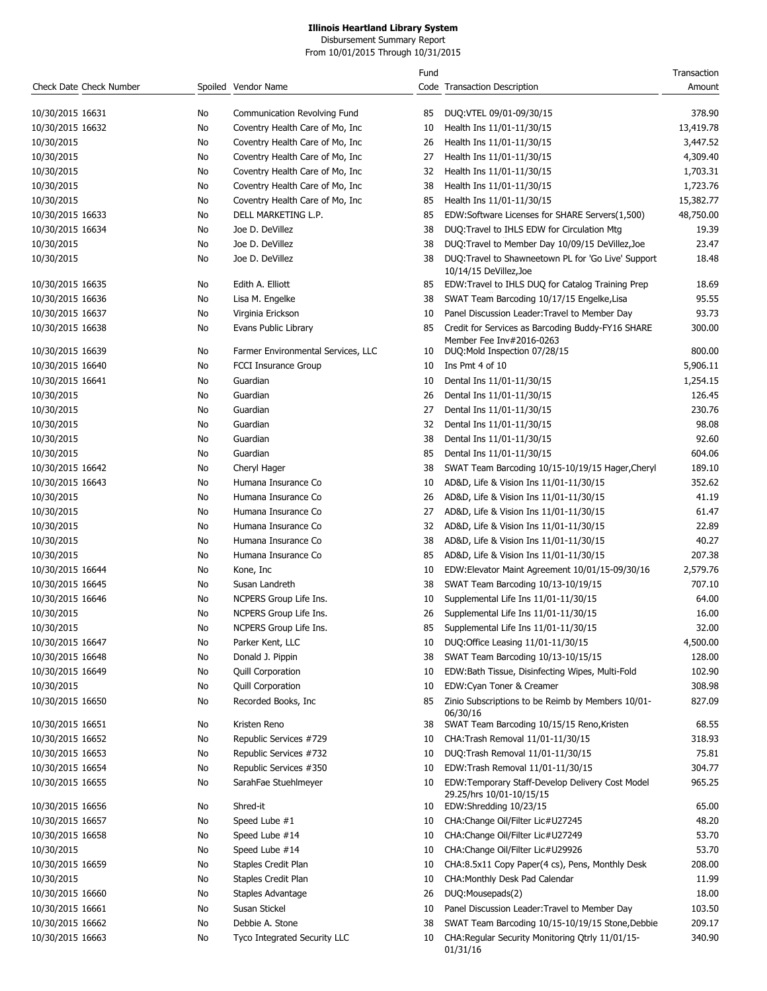#### **Illinois Heartland Library System** Disbursement Summary Report

From 10/01/2015 Through 10/31/2015

|                         |     |                                    | Fund |                                                                               | Transaction |
|-------------------------|-----|------------------------------------|------|-------------------------------------------------------------------------------|-------------|
| Check Date Check Number |     | Spoiled Vendor Name                |      | Code Transaction Description                                                  | Amount      |
| 10/30/2015 16631        | No  | Communication Revolving Fund       | 85   | DUQ:VTEL 09/01-09/30/15                                                       | 378.90      |
| 10/30/2015 16632        | No  | Coventry Health Care of Mo, Inc.   | 10   | Health Ins 11/01-11/30/15                                                     | 13,419.78   |
| 10/30/2015              | No  | Coventry Health Care of Mo, Inc.   | 26   | Health Ins 11/01-11/30/15                                                     | 3,447.52    |
| 10/30/2015              | No  | Coventry Health Care of Mo, Inc.   | 27   | Health Ins 11/01-11/30/15                                                     | 4,309.40    |
| 10/30/2015              | No. | Coventry Health Care of Mo, Inc    | 32   | Health Ins 11/01-11/30/15                                                     | 1,703.31    |
| 10/30/2015              | No. | Coventry Health Care of Mo, Inc    | 38   | Health Ins 11/01-11/30/15                                                     | 1,723.76    |
| 10/30/2015              | No  | Coventry Health Care of Mo, Inc.   | 85   | Health Ins 11/01-11/30/15                                                     | 15,382.77   |
| 10/30/2015 16633        | No  | DELL MARKETING L.P.                | 85   | EDW:Software Licenses for SHARE Servers(1,500)                                | 48,750.00   |
| 10/30/2015 16634        | No  | Joe D. DeVillez                    | 38   | DUQ: Travel to IHLS EDW for Circulation Mtg                                   | 19.39       |
| 10/30/2015              | No  | Joe D. DeVillez                    | 38   | DUQ:Travel to Member Day 10/09/15 DeVillez, Joe                               | 23.47       |
| 10/30/2015              | No  | Joe D. DeVillez                    | 38   | DUQ:Travel to Shawneetown PL for 'Go Live' Support                            | 18.48       |
|                         |     |                                    |      | 10/14/15 DeVillez, Joe                                                        |             |
| 10/30/2015 16635        | No  | Edith A. Elliott                   | 85   | EDW:Travel to IHLS DUQ for Catalog Training Prep                              | 18.69       |
| 10/30/2015 16636        | No  | Lisa M. Engelke                    | 38   | SWAT Team Barcoding 10/17/15 Engelke, Lisa                                    | 95.55       |
| 10/30/2015 16637        | No  | Virginia Erickson                  | 10   | Panel Discussion Leader: Travel to Member Day                                 | 93.73       |
| 10/30/2015 16638        | No  | Evans Public Library               | 85   | Credit for Services as Barcoding Buddy-FY16 SHARE<br>Member Fee Inv#2016-0263 | 300.00      |
| 10/30/2015 16639        | No  | Farmer Environmental Services, LLC | 10   | DUQ:Mold Inspection 07/28/15                                                  | 800.00      |
| 10/30/2015 16640        | No  | <b>FCCI Insurance Group</b>        | 10   | Ins Pmt 4 of 10                                                               | 5,906.11    |
| 10/30/2015 16641        | No  | Guardian                           | 10   | Dental Ins 11/01-11/30/15                                                     | 1,254.15    |
| 10/30/2015              | No  | Guardian                           | 26   | Dental Ins 11/01-11/30/15                                                     | 126.45      |
| 10/30/2015              | No  | Guardian                           | 27   | Dental Ins 11/01-11/30/15                                                     | 230.76      |
| 10/30/2015              | No  | Guardian                           | 32   | Dental Ins 11/01-11/30/15                                                     | 98.08       |
| 10/30/2015              | No  | Guardian                           | 38   | Dental Ins 11/01-11/30/15                                                     | 92.60       |
| 10/30/2015              | No  | Guardian                           | 85   | Dental Ins 11/01-11/30/15                                                     | 604.06      |
| 10/30/2015 16642        | No  | Cheryl Hager                       | 38   | SWAT Team Barcoding 10/15-10/19/15 Hager, Cheryl                              | 189.10      |
| 10/30/2015 16643        | No  | Humana Insurance Co                | 10   | AD&D, Life & Vision Ins 11/01-11/30/15                                        | 352.62      |
| 10/30/2015              | No  | Humana Insurance Co                | 26   | AD&D, Life & Vision Ins 11/01-11/30/15                                        | 41.19       |
| 10/30/2015              | No  | Humana Insurance Co                | 27   | AD&D, Life & Vision Ins 11/01-11/30/15                                        | 61.47       |
| 10/30/2015              | No  | Humana Insurance Co                | 32   | AD&D, Life & Vision Ins 11/01-11/30/15                                        | 22.89       |
| 10/30/2015              | No  | Humana Insurance Co                | 38   | AD&D, Life & Vision Ins 11/01-11/30/15                                        | 40.27       |
| 10/30/2015              | No  | Humana Insurance Co                | 85   | AD&D, Life & Vision Ins 11/01-11/30/15                                        | 207.38      |
| 10/30/2015 16644        | No  | Kone, Inc                          | 10   | EDW:Elevator Maint Agreement 10/01/15-09/30/16                                | 2,579.76    |
| 10/30/2015 16645        | No  | Susan Landreth                     | 38   | SWAT Team Barcoding 10/13-10/19/15                                            | 707.10      |
| 10/30/2015 16646        | No  | NCPERS Group Life Ins.             | 10   | Supplemental Life Ins 11/01-11/30/15                                          | 64.00       |
| 10/30/2015              | No  | NCPERS Group Life Ins.             | 26   | Supplemental Life Ins 11/01-11/30/15                                          | 16.00       |
| 10/30/2015              | No  | NCPERS Group Life Ins.             |      | Supplemental Life Ins 11/01-11/30/15                                          | 32.00       |
| 10/30/2015 16647        | No  | Parker Kent, LLC                   | 10   | DUQ:Office Leasing 11/01-11/30/15                                             | 4,500.00    |
| 10/30/2015 16648        | No  | Donald J. Pippin                   | 38   | SWAT Team Barcoding 10/13-10/15/15                                            | 128.00      |
| 10/30/2015 16649        | No  | <b>Quill Corporation</b>           | 10   | EDW:Bath Tissue, Disinfecting Wipes, Multi-Fold                               | 102.90      |
| 10/30/2015              | No  | <b>Quill Corporation</b>           | 10   | EDW:Cyan Toner & Creamer                                                      | 308.98      |
| 10/30/2015 16650        | No  | Recorded Books, Inc                | 85   | Zinio Subscriptions to be Reimb by Members 10/01-<br>06/30/16                 | 827.09      |
| 10/30/2015 16651        | No  | Kristen Reno                       | 38   | SWAT Team Barcoding 10/15/15 Reno, Kristen                                    | 68.55       |
| 10/30/2015 16652        | No  | Republic Services #729             | 10   | CHA: Trash Removal 11/01-11/30/15                                             | 318.93      |
| 10/30/2015 16653        | No  | Republic Services #732             | 10   | DUQ:Trash Removal 11/01-11/30/15                                              | 75.81       |
| 10/30/2015 16654        | No  | Republic Services #350             | 10   | EDW:Trash Removal 11/01-11/30/15                                              | 304.77      |
| 10/30/2015 16655        | No  | SarahFae Stuehlmeyer               | 10   | EDW:Temporary Staff-Develop Delivery Cost Model<br>29.25/hrs 10/01-10/15/15   | 965.25      |
| 10/30/2015 16656        | No  | Shred-it                           | 10   | EDW:Shredding 10/23/15                                                        | 65.00       |
| 10/30/2015 16657        | No  | Speed Lube #1                      | 10   | CHA:Change Oil/Filter Lic#U27245                                              | 48.20       |
| 10/30/2015 16658        | No  | Speed Lube #14                     | 10   | CHA: Change Oil/Filter Lic#U27249                                             | 53.70       |
| 10/30/2015              | No  | Speed Lube #14                     | 10   | CHA: Change Oil/Filter Lic#U29926                                             | 53.70       |
| 10/30/2015 16659        | No  | Staples Credit Plan                | 10   | CHA:8.5x11 Copy Paper(4 cs), Pens, Monthly Desk                               | 208.00      |
| 10/30/2015              | No  | Staples Credit Plan                | 10   | CHA: Monthly Desk Pad Calendar                                                | 11.99       |
| 10/30/2015 16660        | No  | Staples Advantage                  | 26   | DUQ:Mousepads(2)                                                              | 18.00       |
| 10/30/2015 16661        | No  | Susan Stickel                      | 10   | Panel Discussion Leader: Travel to Member Day                                 | 103.50      |
| 10/30/2015 16662        | No  | Debbie A. Stone                    | 38   | SWAT Team Barcoding 10/15-10/19/15 Stone, Debbie                              | 209.17      |
| 10/30/2015 16663        | No  | Tyco Integrated Security LLC       | 10   | CHA: Regular Security Monitoring Qtrly 11/01/15-<br>01/31/16                  | 340.90      |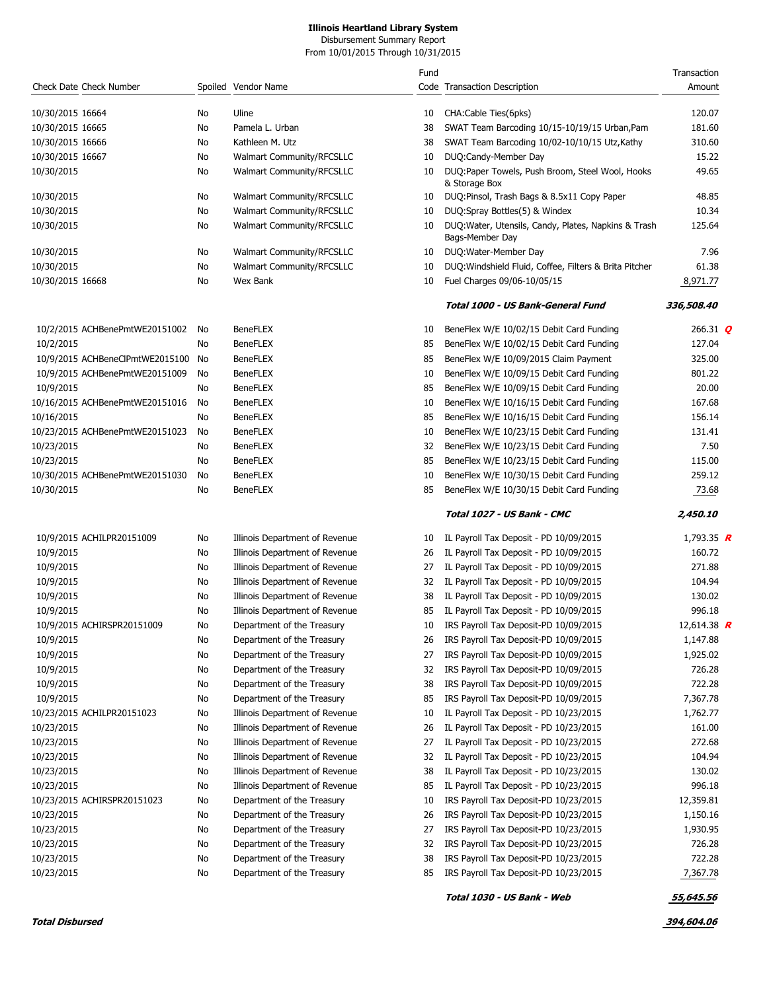Disbursement Summary Report From 10/01/2015 Through 10/31/2015

|                                               |          |                                    | Fund     |                                                                                      | Transaction       |
|-----------------------------------------------|----------|------------------------------------|----------|--------------------------------------------------------------------------------------|-------------------|
| Check Date Check Number                       |          | Spoiled Vendor Name                |          | Code Transaction Description                                                         | Amount            |
| 10/30/2015 16664                              | No.      | Uline                              | 10       | CHA:Cable Ties(6pks)                                                                 | 120.07            |
| 10/30/2015 16665                              | No       | Pamela L. Urban                    | 38       | SWAT Team Barcoding 10/15-10/19/15 Urban, Pam                                        | 181.60            |
| 10/30/2015 16666                              | No       | Kathleen M. Utz                    | 38       | SWAT Team Barcoding 10/02-10/10/15 Utz, Kathy                                        | 310.60            |
| 10/30/2015 16667                              | No       | Walmart Community/RFCSLLC          | 10       | DUQ:Candy-Member Day                                                                 | 15.22             |
| 10/30/2015                                    | No       | Walmart Community/RFCSLLC          | 10       | DUQ:Paper Towels, Push Broom, Steel Wool, Hooks                                      | 49.65             |
|                                               |          |                                    |          | & Storage Box                                                                        |                   |
| 10/30/2015                                    | No       | Walmart Community/RFCSLLC          | 10       | DUQ:Pinsol, Trash Bags & 8.5x11 Copy Paper                                           | 48.85             |
| 10/30/2015                                    | No       | Walmart Community/RFCSLLC          | 10       | DUQ:Spray Bottles(5) & Windex                                                        | 10.34             |
| 10/30/2015                                    | No       | <b>Walmart Community/RFCSLLC</b>   | 10       | DUQ: Water, Utensils, Candy, Plates, Napkins & Trash<br>Bags-Member Day              | 125.64            |
| 10/30/2015                                    | No       | Walmart Community/RFCSLLC          | 10       | DUQ: Water-Member Day                                                                | 7.96              |
| 10/30/2015                                    | No       | Walmart Community/RFCSLLC          | 10       | DUQ: Windshield Fluid, Coffee, Filters & Brita Pitcher                               | 61.38             |
| 10/30/2015 16668                              | No       | Wex Bank                           | 10       | Fuel Charges 09/06-10/05/15                                                          | 8,971.77          |
|                                               |          |                                    |          | Total 1000 - US Bank-General Fund                                                    | 336,508.40        |
| 10/2/2015 ACHBenePmtWE20151002                | No       | <b>BeneFLEX</b>                    | 10       | BeneFlex W/E 10/02/15 Debit Card Funding                                             | 266.31 $Q$        |
| 10/2/2015                                     | No       | <b>BeneFLEX</b>                    | 85       | BeneFlex W/E 10/02/15 Debit Card Funding                                             | 127.04            |
| 10/9/2015 ACHBeneClPmtWE2015100 No            |          | <b>BeneFLEX</b>                    | 85       | BeneFlex W/E 10/09/2015 Claim Payment                                                | 325.00            |
| 10/9/2015 ACHBenePmtWE20151009                | No       | <b>BeneFLEX</b>                    | 10       | BeneFlex W/E 10/09/15 Debit Card Funding                                             | 801.22            |
| 10/9/2015                                     | No       | <b>BeneFLEX</b>                    | 85       | BeneFlex W/E 10/09/15 Debit Card Funding                                             | 20.00             |
| 10/16/2015 ACHBenePmtWE20151016               |          | <b>BeneFLEX</b>                    |          |                                                                                      | 167.68            |
| 10/16/2015                                    | No       | <b>BeneFLEX</b>                    | 10<br>85 | BeneFlex W/E 10/16/15 Debit Card Funding<br>BeneFlex W/E 10/16/15 Debit Card Funding | 156.14            |
|                                               | No       | <b>BeneFLEX</b>                    |          | BeneFlex W/E 10/23/15 Debit Card Funding                                             | 131.41            |
| 10/23/2015 ACHBenePmtWE20151023               | No       | <b>BeneFLEX</b>                    | 10<br>32 |                                                                                      | 7.50              |
| 10/23/2015                                    | No       | <b>BeneFLEX</b>                    |          | BeneFlex W/E 10/23/15 Debit Card Funding                                             |                   |
| 10/23/2015                                    | No       |                                    | 85       | BeneFlex W/E 10/23/15 Debit Card Funding                                             | 115.00<br>259.12  |
| 10/30/2015 ACHBenePmtWE20151030<br>10/30/2015 | No<br>No | <b>BeneFLEX</b><br><b>BeneFLEX</b> | 10<br>85 | BeneFlex W/E 10/30/15 Debit Card Funding<br>BeneFlex W/E 10/30/15 Debit Card Funding | 73.68             |
|                                               |          |                                    |          |                                                                                      |                   |
|                                               |          |                                    |          | Total 1027 - US Bank - CMC                                                           | 2,450.10          |
| 10/9/2015 ACHILPR20151009                     | No       | Illinois Department of Revenue     | 10       | IL Payroll Tax Deposit - PD 10/09/2015                                               | 1,793.35 <b>R</b> |
| 10/9/2015                                     | No       | Illinois Department of Revenue     | 26       | IL Payroll Tax Deposit - PD 10/09/2015                                               | 160.72            |
| 10/9/2015                                     | No       | Illinois Department of Revenue     | 27       | IL Payroll Tax Deposit - PD 10/09/2015                                               | 271.88            |
| 10/9/2015                                     | No       | Illinois Department of Revenue     | 32       | IL Payroll Tax Deposit - PD 10/09/2015                                               | 104.94            |
| 10/9/2015                                     | No       | Illinois Department of Revenue     | 38       | IL Payroll Tax Deposit - PD 10/09/2015                                               | 130.02            |
| 10/9/2015                                     | No       | Illinois Department of Revenue     | 85       | IL Payroll Tax Deposit - PD 10/09/2015                                               | 996.18            |
| 10/9/2015 ACHIRSPR20151009                    | No       | Department of the Treasury         | 10       | IRS Payroll Tax Deposit-PD 10/09/2015                                                | 12,614.38 $R$     |
| 10/9/2015                                     | No       | Department of the Treasury         | 26       | IRS Payroll Tax Deposit-PD 10/09/2015                                                | 1,147.88          |
| 10/9/2015                                     | No       | Department of the Treasury         | 27       | IRS Payroll Tax Deposit-PD 10/09/2015                                                | 1,925.02          |
| 10/9/2015                                     | No       | Department of the Treasury         | 32       | IRS Payroll Tax Deposit-PD 10/09/2015                                                | 726.28            |
| 10/9/2015                                     | No       | Department of the Treasury         | 38       | IRS Payroll Tax Deposit-PD 10/09/2015                                                | 722.28            |
| 10/9/2015                                     | No       | Department of the Treasury         | 85       | IRS Payroll Tax Deposit-PD 10/09/2015                                                | 7,367.78          |
| 10/23/2015 ACHILPR20151023                    | No       | Illinois Department of Revenue     | 10       | IL Payroll Tax Deposit - PD 10/23/2015                                               | 1,762.77          |
| 10/23/2015                                    | No       | Illinois Department of Revenue     | 26       | IL Payroll Tax Deposit - PD 10/23/2015                                               | 161.00            |
| 10/23/2015                                    | No       | Illinois Department of Revenue     | 27       | IL Payroll Tax Deposit - PD 10/23/2015                                               | 272.68            |
| 10/23/2015                                    | No       | Illinois Department of Revenue     | 32       | IL Payroll Tax Deposit - PD 10/23/2015                                               | 104.94            |
| 10/23/2015                                    | No       | Illinois Department of Revenue     | 38       | IL Payroll Tax Deposit - PD 10/23/2015                                               | 130.02            |
| 10/23/2015                                    | No       | Illinois Department of Revenue     | 85       | IL Payroll Tax Deposit - PD 10/23/2015                                               | 996.18            |
| 10/23/2015 ACHIRSPR20151023                   | No       | Department of the Treasury         | 10       | IRS Payroll Tax Deposit-PD 10/23/2015                                                | 12,359.81         |
| 10/23/2015                                    | No       | Department of the Treasury         | 26       | IRS Payroll Tax Deposit-PD 10/23/2015                                                | 1,150.16          |
| 10/23/2015                                    | No       | Department of the Treasury         | 27       | IRS Payroll Tax Deposit-PD 10/23/2015                                                | 1,930.95          |
| 10/23/2015                                    | No       | Department of the Treasury         | 32       | IRS Payroll Tax Deposit-PD 10/23/2015                                                | 726.28            |
| 10/23/2015                                    | No       | Department of the Treasury         | 38       | IRS Payroll Tax Deposit-PD 10/23/2015                                                | 722.28            |
| 10/23/2015                                    | No       | Department of the Treasury         | 85       | IRS Payroll Tax Deposit-PD 10/23/2015                                                | 7,367.78          |
|                                               |          |                                    |          | Total 1030 - US Bank - Web                                                           | 55,645.56         |

**Total Disbursed 394,604.06**